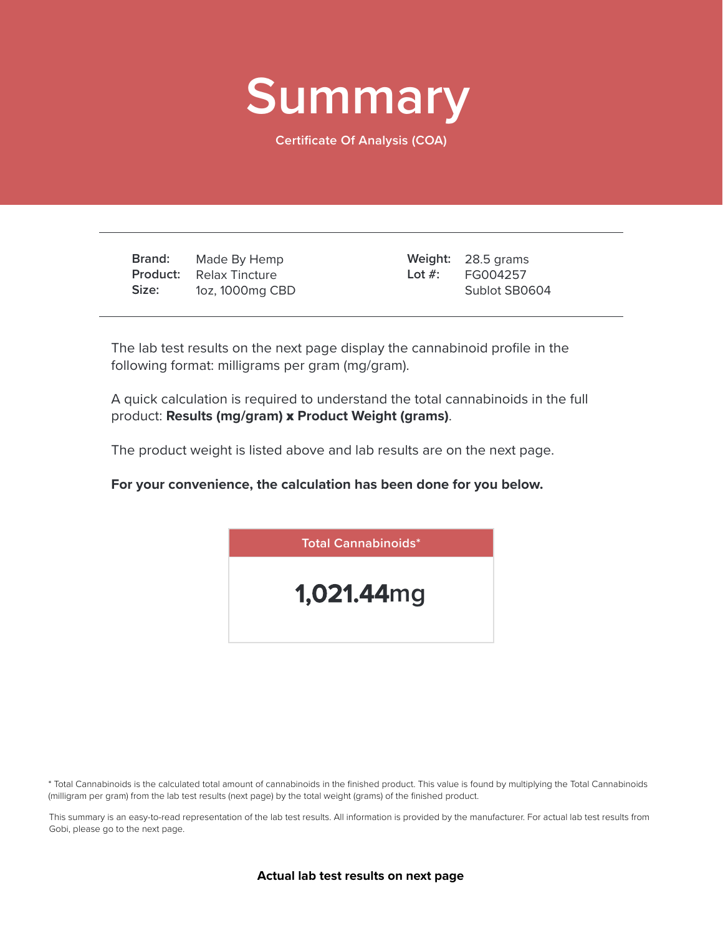

**Certificate Of Analysis (COA)**

**Brand: Product: Size:** Made By Hemp Relax Tincture 1oz, 1000mg CBD

28.5 grams **Weight:** FG004257 Sublot SB0604 **Lot #:**

The lab test results on the next page display the cannabinoid profile in the following format: milligrams per gram (mg/gram).

A quick calculation is required to understand the total cannabinoids in the full product: **Results (mg/gram)** x **Product Weight (grams)**.

The product weight is listed above and lab results are on the next page.

**For your convenience, the calculation has been done for you below.**



\* Total Cannabinoids is the calculated total amount of cannabinoids in the finished product. This value is found by multiplying the Total Cannabinoids (milligram per gram) from the lab test results (next page) by the total weight (grams) of the finished product.

This summary is an easy-to-read representation of the lab test results. All information is provided by the manufacturer. For actual lab test results from Gobi, please go to the next page.